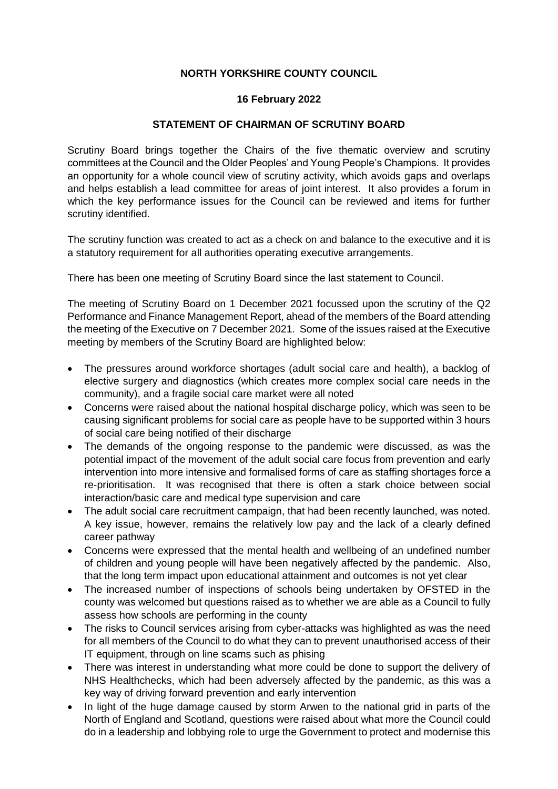## **NORTH YORKSHIRE COUNTY COUNCIL**

## **16 February 2022**

## **STATEMENT OF CHAIRMAN OF SCRUTINY BOARD**

Scrutiny Board brings together the Chairs of the five thematic overview and scrutiny committees at the Council and the Older Peoples' and Young People's Champions. It provides an opportunity for a whole council view of scrutiny activity, which avoids gaps and overlaps and helps establish a lead committee for areas of joint interest. It also provides a forum in which the key performance issues for the Council can be reviewed and items for further scrutiny identified.

The scrutiny function was created to act as a check on and balance to the executive and it is a statutory requirement for all authorities operating executive arrangements.

There has been one meeting of Scrutiny Board since the last statement to Council.

The meeting of Scrutiny Board on 1 December 2021 focussed upon the scrutiny of the Q2 Performance and Finance Management Report, ahead of the members of the Board attending the meeting of the Executive on 7 December 2021. Some of the issues raised at the Executive meeting by members of the Scrutiny Board are highlighted below:

- The pressures around workforce shortages (adult social care and health), a backlog of elective surgery and diagnostics (which creates more complex social care needs in the community), and a fragile social care market were all noted
- Concerns were raised about the national hospital discharge policy, which was seen to be causing significant problems for social care as people have to be supported within 3 hours of social care being notified of their discharge
- The demands of the ongoing response to the pandemic were discussed, as was the potential impact of the movement of the adult social care focus from prevention and early intervention into more intensive and formalised forms of care as staffing shortages force a re-prioritisation. It was recognised that there is often a stark choice between social interaction/basic care and medical type supervision and care
- The adult social care recruitment campaign, that had been recently launched, was noted. A key issue, however, remains the relatively low pay and the lack of a clearly defined career pathway
- Concerns were expressed that the mental health and wellbeing of an undefined number of children and young people will have been negatively affected by the pandemic. Also, that the long term impact upon educational attainment and outcomes is not yet clear
- The increased number of inspections of schools being undertaken by OFSTED in the county was welcomed but questions raised as to whether we are able as a Council to fully assess how schools are performing in the county
- The risks to Council services arising from cyber-attacks was highlighted as was the need for all members of the Council to do what they can to prevent unauthorised access of their IT equipment, through on line scams such as phising
- There was interest in understanding what more could be done to support the delivery of NHS Healthchecks, which had been adversely affected by the pandemic, as this was a key way of driving forward prevention and early intervention
- In light of the huge damage caused by storm Arwen to the national grid in parts of the North of England and Scotland, questions were raised about what more the Council could do in a leadership and lobbying role to urge the Government to protect and modernise this